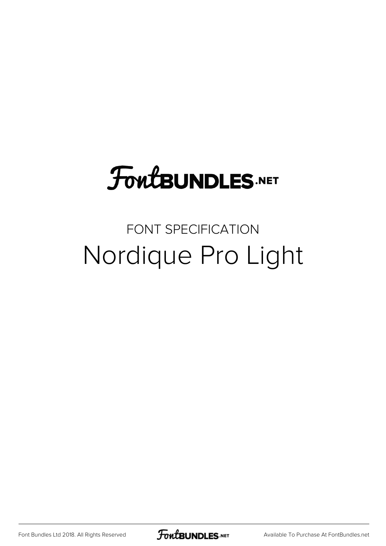# **FoutBUNDLES.NET**

### FONT SPECIFICATION Nordique Pro Light

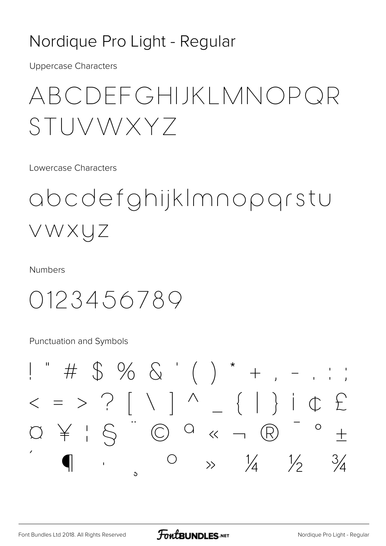#### Nordique Pro Light - Regular

**Uppercase Characters** 

## ABCDEFGHIJKLMNOPQR STUVWXYZ

Lowercase Characters

## abcdefghijkImnopgrstu VWXUZ

**Numbers** 

0123456789

Punctuation and Symbols

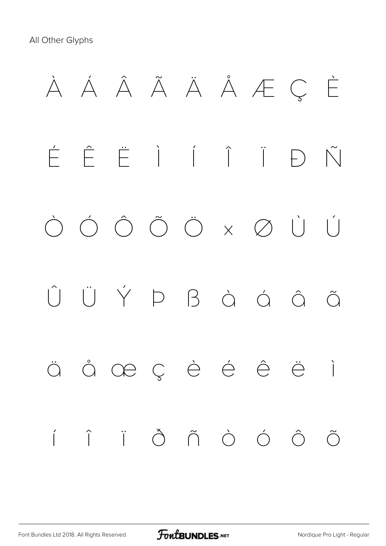

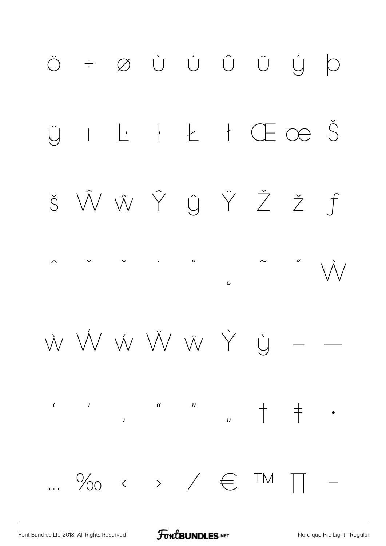

**FoutBUNDLES**.NET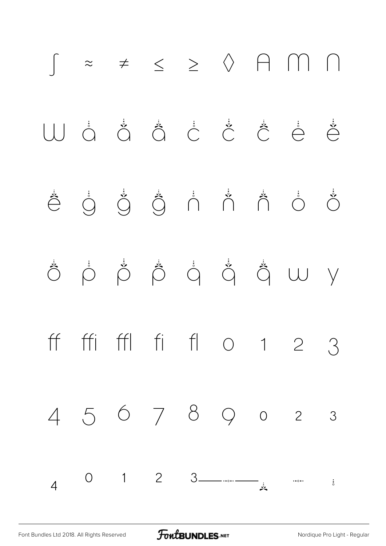